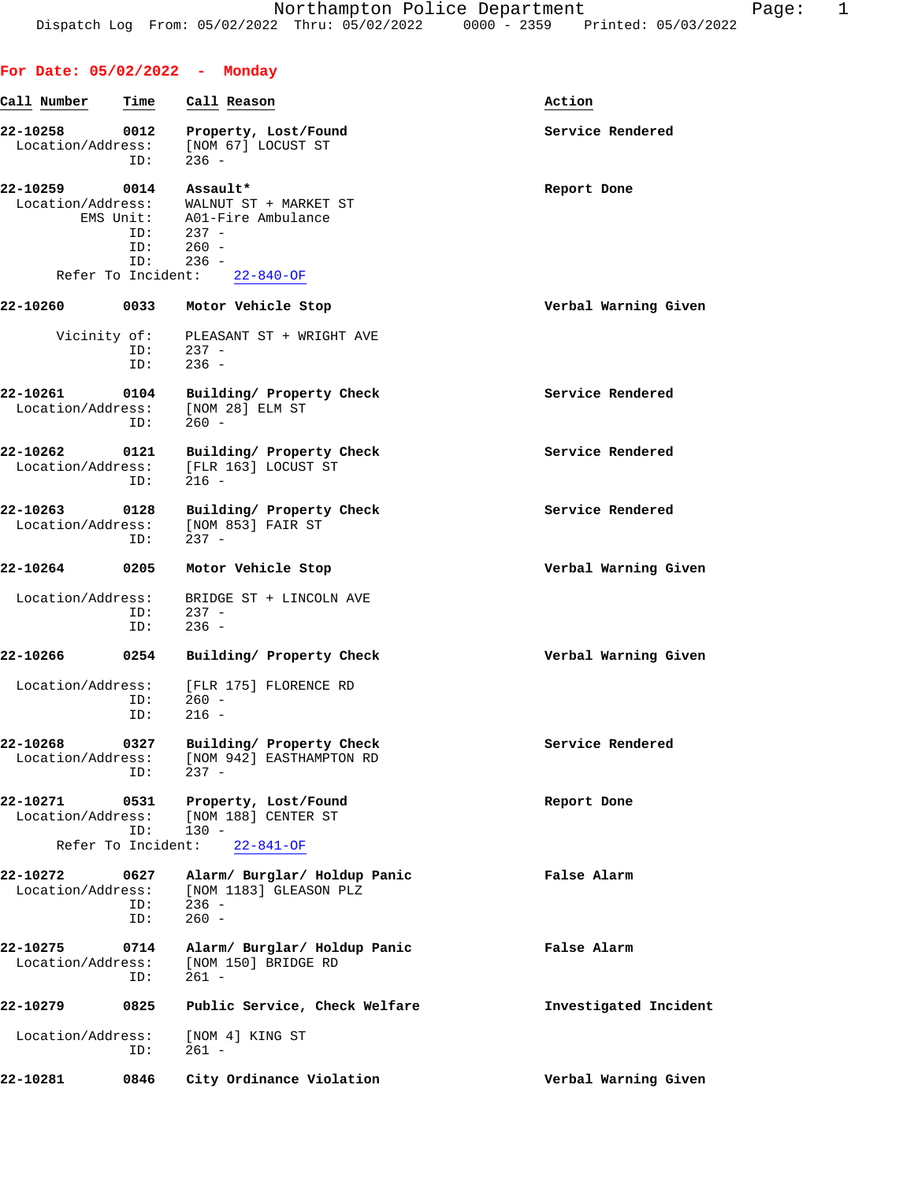**For Date: 05/02/2022 - Monday**

## **Call Number Time Call Reason Action** 22-10258 0012 Property, Lost/Found **120 Example 22-10258** Service Rendered Location/Address: [NOM 67] LOCUST ST ID: 236 - **22-10259 0014 Assault\* Report Done** Location/Address: WALNUT ST + MARKET ST EMS Unit: A01-Fire Ambulance ID: 237 - ID: 260 -<br>ID: 236 - $236 -$  Refer To Incident: 22-840-OF **22-10260 0033 Motor Vehicle Stop Verbal Warning Given** Vicinity of: PLEASANT ST + WRIGHT AVE ID: 237 - $237 -$  ID: 236 - **22-10261 0104 Building/ Property Check Service Rendered** Location/Address: [NOM 28] ELM ST  $ID: 260 -$ **22-10262 0121 Building/ Property Check Service Rendered** Location/Address: [FLR 163] LOCUST ST<br>ID: 216 - $ID:$ **22-10263 0128 Building/ Property Check Service Rendered** Location/Address: [NOM 853] FAIR ST ID: 237 - **22-10264 0205 Motor Vehicle Stop Verbal Warning Given** Location/Address: BRIDGE ST + LINCOLN AVE ID: 237 -<br>ID: 236 - $236 -$ **22-10266 0254 Building/ Property Check Verbal Warning Given** Location/Address: [FLR 175] FLORENCE RD<br>ID: 260 - ID: 260 - ID: 216 - **22-10268 0327 Building/ Property Check Service Rendered** Location/Address: [NOM 942] EASTHAMPTON RD ID: 237 - **22-10271 0531 Property, Lost/Found Report Done** Location/Address: [NOM 188] CENTER ST ID: 130 - Refer To Incident: 22-841-OF **22-10272 0627 Alarm/ Burglar/ Holdup Panic False Alarm** Location/Address: [NOM 1183] GLEASON PLZ ID: 236 - ID: 260 - **22-10275 0714 Alarm/ Burglar/ Holdup Panic False Alarm** Location/Address: [NOM 150] BRIDGE RD ID: 261 - **22-10279 0825 Public Service, Check Welfare Investigated Incident** Location/Address: [NOM 4] KING ST ID: 261 - **22-10281 0846 City Ordinance Violation Verbal Warning Given**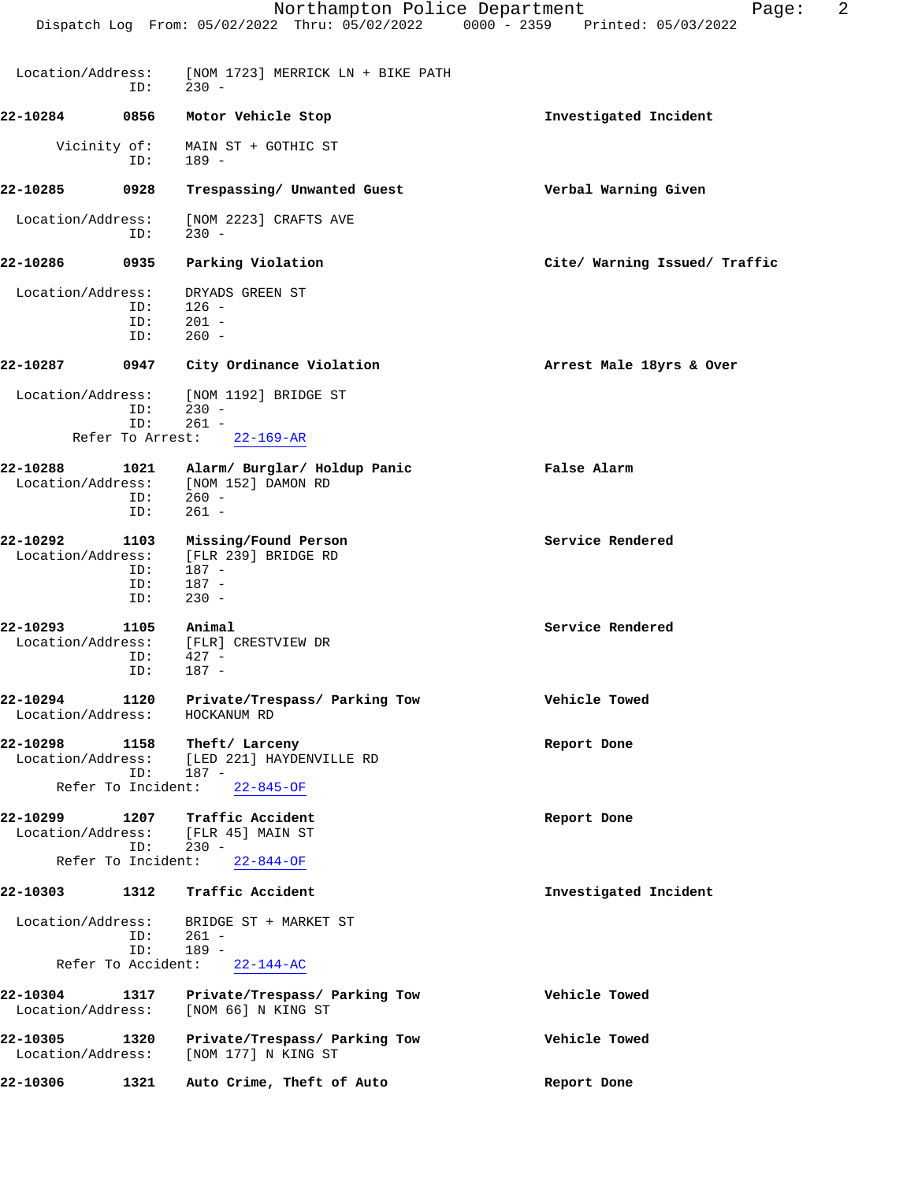|                               |                                   | Northampton Police Department<br>Dispatch Log From: 05/02/2022 Thru: 05/02/2022 0000 - 2359 Printed: 05/03/2022 | 2<br>Page:                    |
|-------------------------------|-----------------------------------|-----------------------------------------------------------------------------------------------------------------|-------------------------------|
| Location/Address:             | ID:                               | [NOM 1723] MERRICK LN + BIKE PATH<br>$230 -$                                                                    |                               |
| 22-10284                      | 0856                              | Motor Vehicle Stop                                                                                              | Investigated Incident         |
|                               | Vicinity of:<br>ID:               | MAIN ST + GOTHIC ST<br>189 -                                                                                    |                               |
| 22-10285                      | 0928                              | Trespassing/ Unwanted Guest                                                                                     | Verbal Warning Given          |
| Location/Address:             | ID:                               | [NOM 2223] CRAFTS AVE<br>$230 -$                                                                                |                               |
| 22-10286                      | 0935                              | Parking Violation                                                                                               | Cite/ Warning Issued/ Traffic |
| Location/Address:             | ID:<br>ID:<br>ID:                 | DRYADS GREEN ST<br>$126 -$<br>$201 -$<br>$260 -$                                                                |                               |
| 22-10287                      | 0947                              | City Ordinance Violation                                                                                        | Arrest Male 18yrs & Over      |
| Location/Address:             | ID:<br>ID:<br>Refer To Arrest:    | [NOM 1192] BRIDGE ST<br>$230 -$<br>$261 -$<br>$22 - 169 - AR$                                                   |                               |
| 22-10288<br>Location/Address: | 1021<br>ID:<br>ID:                | Alarm/ Burglar/ Holdup Panic<br>[NOM 152] DAMON RD<br>$260 -$<br>$261 -$                                        | False Alarm                   |
| 22-10292<br>Location/Address: | 1103<br>ID:<br>ID:<br>ID:         | Missing/Found Person<br>[FLR 239] BRIDGE RD<br>$187 -$<br>$187 -$<br>$230 -$                                    | Service Rendered              |
| 22-10293<br>Location/Address: | 1105<br>ID:<br>ID:                | Animal<br>[FLR] CRESTVIEW DR<br>$427 -$<br>$187 -$                                                              | Service Rendered              |
| 22-10294<br>Location/Address: | 1120                              | Private/Trespass/ Parking Tow<br>HOCKANUM RD                                                                    | Vehicle Towed                 |
| 22-10298<br>Location/Address: | 1158<br>ID:                       | Theft/ Larceny<br>[LED 221] HAYDENVILLE RD<br>187 -                                                             | Report Done                   |
|                               | Refer To Incident:                | $22 - 845 - OF$                                                                                                 |                               |
| 22-10299<br>Location/Address: | 1207<br>ID:<br>Refer To Incident: | Traffic Accident<br>[FLR 45] MAIN ST<br>$230 -$<br>$22 - 844 - OF$                                              | Report Done                   |
| 22-10303                      | 1312                              | Traffic Accident                                                                                                | Investigated Incident         |
| Location/Address:             | ID:<br>ID:<br>Refer To Accident:  | BRIDGE ST + MARKET ST<br>$261 -$<br>$189 -$<br>$22 - 144 - AC$                                                  |                               |
| 22-10304<br>Location/Address: | 1317                              | Private/Trespass/ Parking Tow<br>[NOM 66] N KING ST                                                             | Vehicle Towed                 |
| 22-10305<br>Location/Address: | 1320                              | Private/Trespass/ Parking Tow<br>[NOM 177] N KING ST                                                            | Vehicle Towed                 |
| 22-10306                      | 1321                              | Auto Crime, Theft of Auto                                                                                       | Report Done                   |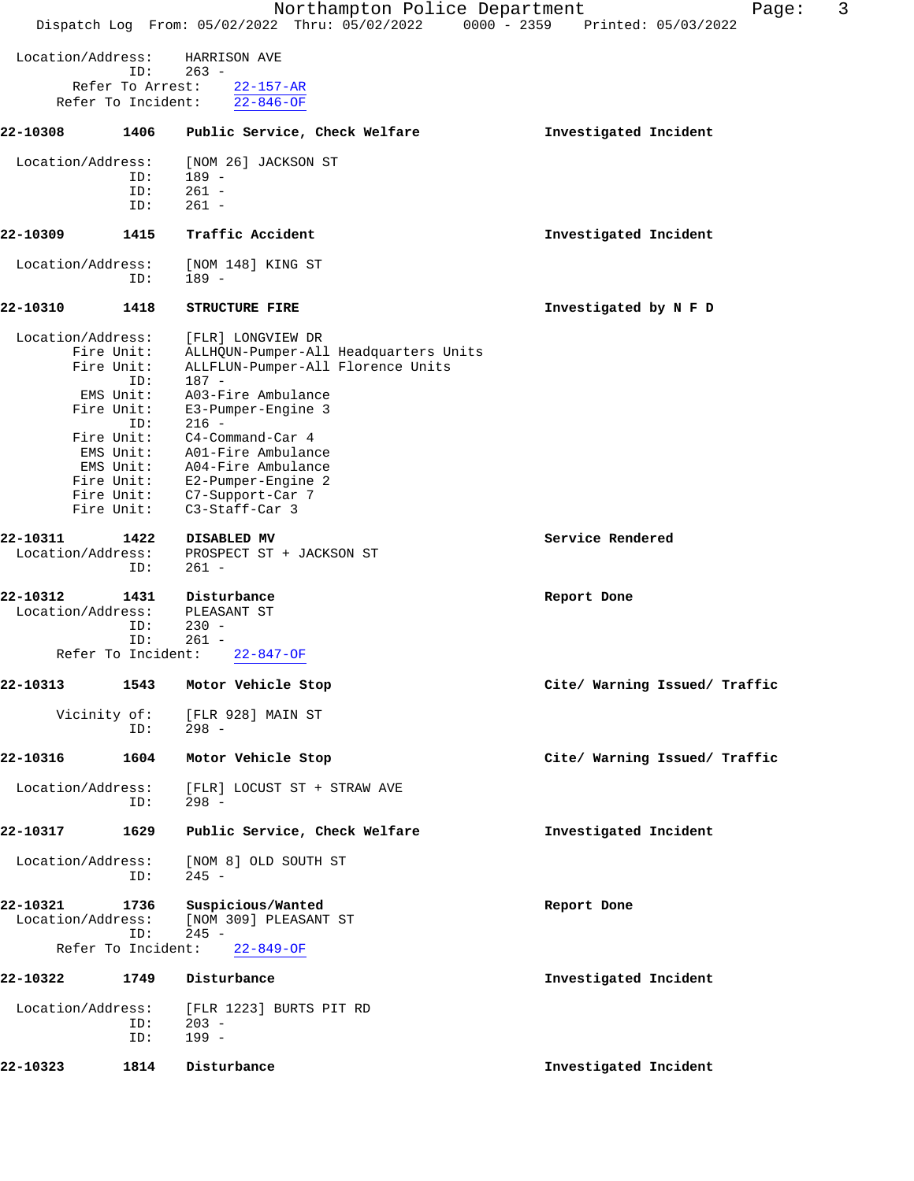|                               |                                                                                               | Northampton Police Department<br>Dispatch Log From: 05/02/2022 Thru: 05/02/2022 0000 - 2359 Printed: 05/03/2022                                                                                                                                                                                                                         | 3<br>Page:                    |
|-------------------------------|-----------------------------------------------------------------------------------------------|-----------------------------------------------------------------------------------------------------------------------------------------------------------------------------------------------------------------------------------------------------------------------------------------------------------------------------------------|-------------------------------|
|                               |                                                                                               |                                                                                                                                                                                                                                                                                                                                         |                               |
| Location/Address:             | ID:                                                                                           | HARRISON AVE<br>$263 -$                                                                                                                                                                                                                                                                                                                 |                               |
|                               | Refer To Arrest:<br>Refer To Incident:                                                        | $22 - 157 - AR$<br>$22 - 846 - OF$                                                                                                                                                                                                                                                                                                      |                               |
| 22-10308                      | 1406                                                                                          | Public Service, Check Welfare                                                                                                                                                                                                                                                                                                           | Investigated Incident         |
| Location/Address:             |                                                                                               | [NOM 26] JACKSON ST                                                                                                                                                                                                                                                                                                                     |                               |
|                               | ID:<br>ID:                                                                                    | $189 -$<br>$261 -$                                                                                                                                                                                                                                                                                                                      |                               |
|                               | ID:                                                                                           | $261 -$                                                                                                                                                                                                                                                                                                                                 |                               |
| 22-10309                      | 1415                                                                                          | Traffic Accident                                                                                                                                                                                                                                                                                                                        | Investigated Incident         |
| Location/Address:             | ID:                                                                                           | [NOM 148] KING ST<br>$189 -$                                                                                                                                                                                                                                                                                                            |                               |
| 22-10310                      | 1418                                                                                          | <b>STRUCTURE FIRE</b>                                                                                                                                                                                                                                                                                                                   | Investigated by N F D         |
| Location/Address:             | Fire Unit:<br>Fire Unit:<br>ID:<br>EMS Unit:<br>Fire Unit:<br>ID:<br>Fire Unit:<br>Fire Unit: | [FLR] LONGVIEW DR<br>ALLHQUN-Pumper-All Headquarters Units<br>ALLFLUN-Pumper-All Florence Units<br>$187 -$<br>A03-Fire Ambulance<br>E3-Pumper-Engine 3<br>$216 -$<br>C4-Command-Car 4<br>EMS Unit: A01-Fire Ambulance<br>EMS Unit: A04-Fire Ambulance<br>Fire Unit: E2-Pumper-Engine 2<br>Fire Unit: C7-Support-Car 7<br>C3-Staff-Car 3 |                               |
| 22-10311<br>Location/Address: | 1422<br>ID:                                                                                   | DISABLED MV<br>PROSPECT ST + JACKSON ST<br>$261 -$                                                                                                                                                                                                                                                                                      | Service Rendered              |
| 22-10312<br>Location/Address: | 1431<br>ID:<br>ID:<br>Refer To Incident:                                                      | Disturbance<br>PLEASANT ST<br>$230 -$<br>$261 -$<br>$22 - 847 - OF$                                                                                                                                                                                                                                                                     | Report Done                   |
|                               | 1543                                                                                          |                                                                                                                                                                                                                                                                                                                                         |                               |
| 22-10313                      |                                                                                               | Motor Vehicle Stop                                                                                                                                                                                                                                                                                                                      | Cite/ Warning Issued/ Traffic |
|                               | Vicinity of:<br>ID:                                                                           | [FLR 928] MAIN ST<br>$298 -$                                                                                                                                                                                                                                                                                                            |                               |
| 22-10316                      | 1604                                                                                          | Motor Vehicle Stop                                                                                                                                                                                                                                                                                                                      | Cite/ Warning Issued/ Traffic |
| Location/Address:             | ID:                                                                                           | [FLR] LOCUST ST + STRAW AVE<br>$298 -$                                                                                                                                                                                                                                                                                                  |                               |
| 22-10317                      | 1629                                                                                          | Public Service, Check Welfare                                                                                                                                                                                                                                                                                                           | Investigated Incident         |
| Location/Address:             | ID:                                                                                           | [NOM 8] OLD SOUTH ST<br>$245 -$                                                                                                                                                                                                                                                                                                         |                               |
| 22-10321<br>Location/Address: | 1736<br>ID:                                                                                   | Suspicious/Wanted<br>[NOM 309] PLEASANT ST<br>$245 -$                                                                                                                                                                                                                                                                                   | Report Done                   |
|                               | Refer To Incident:                                                                            | $22 - 849 - OF$                                                                                                                                                                                                                                                                                                                         |                               |
| 22-10322                      | 1749                                                                                          | Disturbance                                                                                                                                                                                                                                                                                                                             | Investigated Incident         |
| Location/Address:             | ID:<br>ID:                                                                                    | [FLR 1223] BURTS PIT RD<br>$203 -$<br>$199 -$                                                                                                                                                                                                                                                                                           |                               |
| 22-10323                      | 1814                                                                                          | Disturbance                                                                                                                                                                                                                                                                                                                             | Investigated Incident         |
|                               |                                                                                               |                                                                                                                                                                                                                                                                                                                                         |                               |